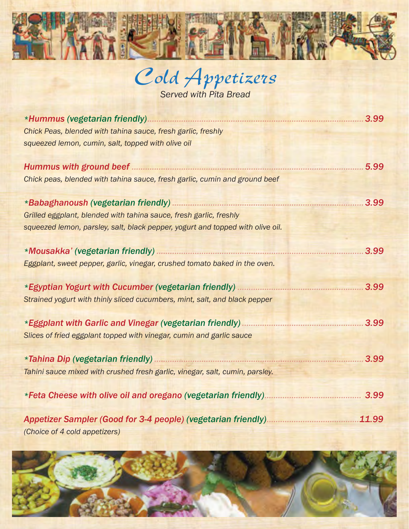



| Chick Peas, blended with tahina sauce, fresh garlic, freshly                   |       |
|--------------------------------------------------------------------------------|-------|
| squeezed lemon, cumin, salt, topped with olive oil                             |       |
|                                                                                | 5.99  |
|                                                                                |       |
| Chick peas, blended with tahina sauce, fresh garlic, cumin and ground beef     |       |
|                                                                                | 3.99  |
| Grilled eggplant, blended with tahina sauce, fresh garlic, freshly             |       |
| squeezed lemon, parsley, salt, black pepper, yogurt and topped with olive oil. |       |
|                                                                                |       |
|                                                                                | .3.99 |
| Eggplant, sweet pepper, garlic, vinegar, crushed tomato baked in the oven.     |       |
|                                                                                |       |
|                                                                                |       |
| Strained yogurt with thinly sliced cucumbers, mint, salt, and black pepper     |       |
|                                                                                |       |
|                                                                                | 3.99  |
| Slices of fried eggplant topped with vinegar, cumin and garlic sauce           |       |
|                                                                                |       |
|                                                                                |       |
| Tahini sauce mixed with crushed fresh garlic, vinegar, salt, cumin, parsley.   |       |
|                                                                                |       |
|                                                                                |       |
|                                                                                |       |
|                                                                                |       |

*(Choice of 4 cold appetizers)*

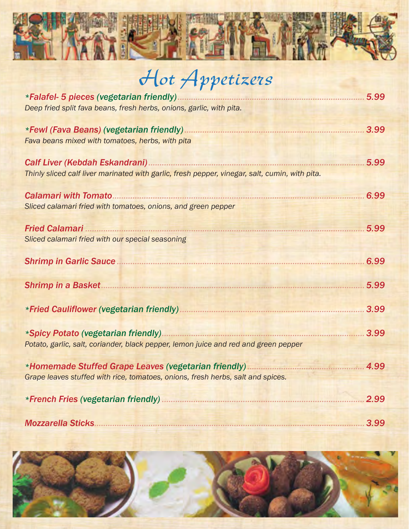

| Hot Appetizers |  |
|----------------|--|
|----------------|--|

| Deep fried split fava beans, fresh herbs, onions, garlic, with pita.                           |      |
|------------------------------------------------------------------------------------------------|------|
|                                                                                                |      |
|                                                                                                | 3.99 |
| Fava beans mixed with tomatoes, herbs, with pita                                               |      |
|                                                                                                |      |
|                                                                                                | 5.99 |
| Thinly sliced calf liver marinated with garlic, fresh pepper, vinegar, salt, cumin, with pita. |      |
|                                                                                                | 6.99 |
| Sliced calamari fried with tomatoes, onions, and green pepper                                  |      |
|                                                                                                |      |
|                                                                                                | 5.99 |
| Sliced calamari fried with our special seasoning                                               |      |
|                                                                                                |      |
|                                                                                                | 6.99 |
|                                                                                                |      |
|                                                                                                | 5.99 |
|                                                                                                |      |
|                                                                                                | 3.99 |
|                                                                                                |      |
| Potato, garlic, salt, coriander, black pepper, lemon juice and red and green pepper            | 3.99 |
|                                                                                                |      |
|                                                                                                | 4.99 |
| Grape leaves stuffed with rice, tomatoes, onions, fresh herbs, salt and spices.                |      |
|                                                                                                |      |
|                                                                                                | 2.99 |
|                                                                                                |      |
|                                                                                                |      |

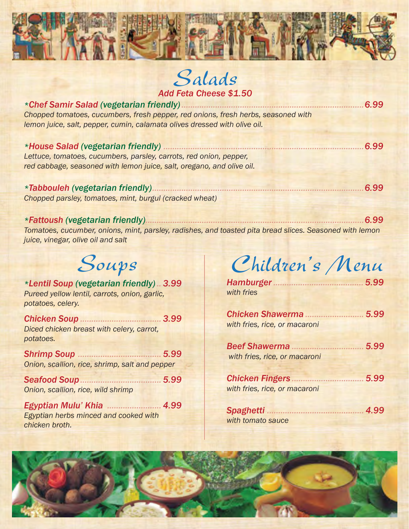

| Salads              |  |
|---------------------|--|
| dd Feta Cheese \$1. |  |

| Chopped tomatoes, cucumbers, fresh pepper, red onions, fresh herbs, seasoned with<br>lemon juice, salt, pepper, cumin, calamata olives dressed with olive oil. | <b>Add Feta Cheese \$1.50</b><br>6.99 |
|----------------------------------------------------------------------------------------------------------------------------------------------------------------|---------------------------------------|
| Lettuce, tomatoes, cucumbers, parsley, carrots, red onion, pepper,<br>red cabbage, seasoned with lemon juice, salt, oregano, and olive oil.                    | 6.99                                  |
| Chopped parsley, tomatoes, mint, burgul (cracked wheat)                                                                                                        | 6.99                                  |
| 6.99<br>Tomatoes, cucumber, onions, mint, parsley, radishes, and toasted pita bread slices. Seasoned with lemon<br>juice, vinegar, olive oil and salt          |                                       |
| Soups                                                                                                                                                          | Children's Menu                       |
| *Lentil Soup (vegetarian friendly). 3.99<br>Pureed yellow lentil, carrots, onion, garlic,<br>potatoes, celery.                                                 | with fries                            |
| Diced chicken breast with celery, carrot,<br>potatoes.                                                                                                         | 5.99<br>with fries, rice, or macaroni |

*Shrimp Soup ..................................... 5.99 Onion, scallion, rice, shrimp, salt and pepper*

*Seafood Soup.................................... 5.99 Onion, scallion, rice, wild shrimp*

*Egyptian Mulu' Khia ........................ 4.99 Egyptian herbs minced and cooked with chicken broth.* 

|                               | 5.99 |
|-------------------------------|------|
| with fries, rice, or macaroni |      |
|                               |      |
|                               | 5.99 |
| with fries, rice, or macaroni |      |
|                               |      |
|                               |      |
| with fries, rice, or macaroni |      |
|                               |      |
| Spaghetti                     | 4.99 |
| with tomato sauce             |      |

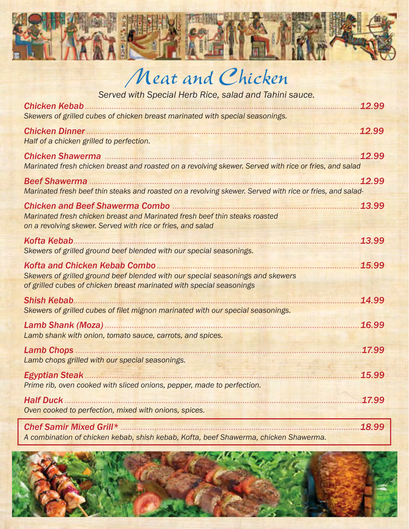

# *Meat and Chicken*

| Served with Special Herb Rice, salad and Tahini sauce.                                                                                                 |       |
|--------------------------------------------------------------------------------------------------------------------------------------------------------|-------|
| Skewers of grilled cubes of chicken breast marinated with special seasonings.                                                                          | 12.99 |
|                                                                                                                                                        | 12.99 |
| Half of a chicken grilled to perfection.                                                                                                               | 12.99 |
| Marinated fresh chicken breast and roasted on a revolving skewer. Served with rice or fries, and salad                                                 |       |
| Marinated fresh beef thin steaks and roasted on a revolving skewer. Served with rice or fries, and salad-                                              | 12.99 |
| Marinated fresh chicken breast and Marinated fresh beef thin steaks roasted<br>on a revolving skewer. Served with rice or fries, and salad             | 13.99 |
| Kofta Kebab<br>Skewers of grilled ground beef blended with our special seasonings.                                                                     | 13.99 |
| Skewers of grilled ground beef blended with our special seasonings and skewers<br>of grilled cubes of chicken breast marinated with special seasonings | 15.99 |
| <b>Shish Kebab.</b><br>Skewers of grilled cubes of filet mignon marinated with our special seasonings.                                                 | 14.99 |
| Lamb shank with onion, tomato sauce, carrots, and spices.                                                                                              | 16.99 |
| Lamb chops grilled with our special seasonings.                                                                                                        | 17.99 |
| Prime rib, oven cooked with sliced onions, pepper, made to perfection.                                                                                 | 15.99 |
| <b>Half Duck.</b><br>Oven cooked to perfection, mixed with onions, spices.                                                                             | 17.99 |
|                                                                                                                                                        | 18.99 |

*A combination of chicken kebab, shish kebab, Kofta, beef Shawerma, chicken Shawerma.* 

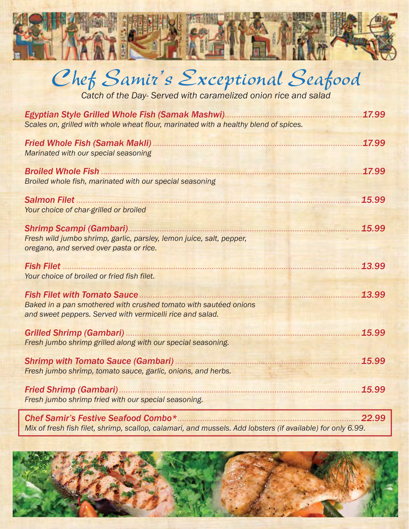

# *Chef Samir's Exceptional Seafood*

*Catch of the Day- Served with caramelized onion rice and salad*

| Scales on, grilled with whole wheat flour, marinated with a healthy blend of spices.                                          | 17.99 |
|-------------------------------------------------------------------------------------------------------------------------------|-------|
| Marinated with our special seasoning                                                                                          | 17.99 |
| Broiled whole fish, marinated with our special seasoning                                                                      | 17.99 |
| Your choice of char-grilled or broiled                                                                                        | 15.99 |
| Fresh wild jumbo shrimp, garlic, parsley, lemon juice, salt, pepper,<br>oregano, and served over pasta or rice.               | 15.99 |
| Your choice of broiled or fried fish filet.                                                                                   | 13.99 |
| Baked in a pan smothered with crushed tomato with sautéed onions<br>and sweet peppers. Served with vermicelli rice and salad. | 13.99 |
| Fresh jumbo shrimp grilled along with our special seasoning.                                                                  | 15.99 |
| Fresh jumbo shrimp, tomato sauce, garlic, onions, and herbs.                                                                  | 15.99 |
| Fresh jumbo shrimp fried with our special seasoning.                                                                          | 15.99 |
| Mix of fresh fish filet, shrimp, scallop, calamari, and mussels. Add lobsters (if available) for only 6.99.                   |       |

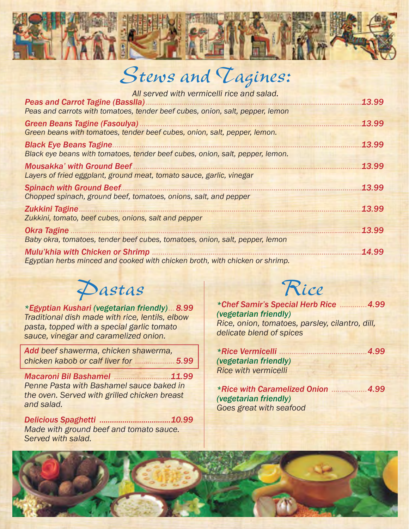

### *Stews and Tagines:*

| All served with vermicelli rice and salad.<br>Peas and carrots with tomatoes, tender beef cubes, onion, salt, pepper, lemon | 13.99 |
|-----------------------------------------------------------------------------------------------------------------------------|-------|
| Green beans with tomatoes, tender beef cubes, onion, salt, pepper, lemon.                                                   | 13.99 |
| <b>Black Eye Beans Tagine.</b><br>Black eye beans with tomatoes, tender beef cubes, onion, salt, pepper, lemon.             | 13.99 |
| Layers of fried eggplant, ground meat, tomato sauce, garlic, vinegar                                                        | 13.99 |
| Chopped spinach, ground beef, tomatoes, onions, salt, and pepper                                                            | 13.99 |
| Zukkini, tomato, beef cubes, onions, salt and pepper                                                                        | 13.99 |
| Baby okra, tomatoes, tender beef cubes, tomatoes, onion, salt, pepper, lemon                                                | 13.99 |
| Egyptian herbs minced and cooked with chicken broth, with chicken or shrimp.                                                | 14.99 |



*\*Egyptian Kushari (vegetarian friendly)...8.99 Traditional dish made with rice, lentils, elbow pasta, topped with a special garlic tomato sauce, vinegar and caramelized onion.*

*Add beef shawerma, chicken shawerma, chicken kabob or calf liver for ...................5.99*

*Macaroni Bil Bashamel ...........................11.99 Penne Pasta with Bashamel sauce baked in the oven. Served with grilled chicken breast and salad.*

*Delicious Spaghetti ..................................10.99 Made with ground beef and tomato sauce. Served with salad.*

### *Rice*

*\*Chef Samir's Special Herb Rice .............4.99 (vegetarian friendly) Rice, onion, tomatoes, parsley, cilantro, dill, delicate blend of spices*

|                             | 4.99 |
|-----------------------------|------|
| (vegetarian friendly)       |      |
| <b>Rice with vermicelli</b> |      |
|                             |      |

*\*Rice with Caramelized Onion .................4.99 (vegetarian friendly) Goes great with seafood*